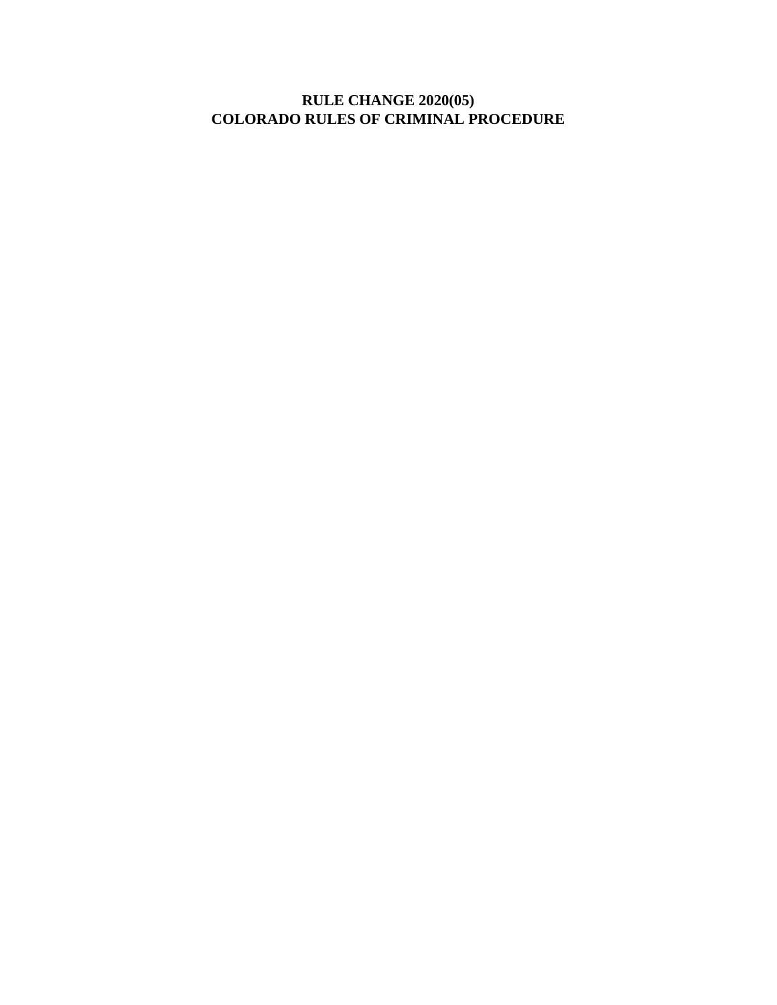# **RULE CHANGE 2020(05) COLORADO RULES OF CRIMINAL PROCEDURE**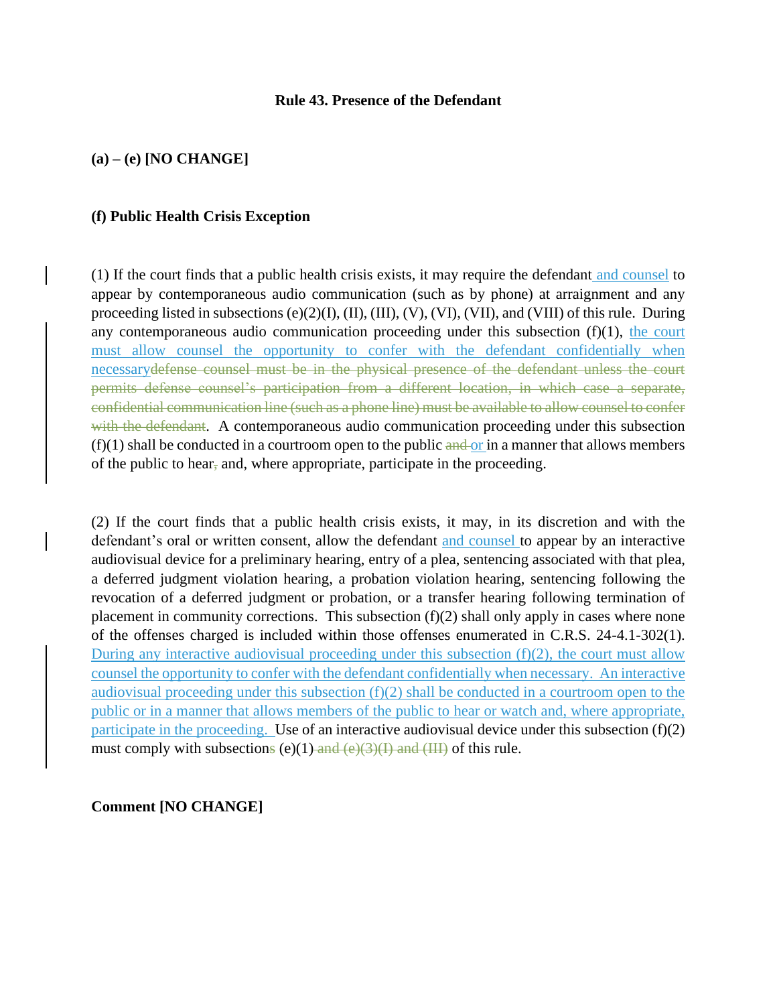#### **Rule 43. Presence of the Defendant**

## **(a) – (e) [NO CHANGE]**

### **(f) Public Health Crisis Exception**

(1) If the court finds that a public health crisis exists, it may require the defendant and counsel to appear by contemporaneous audio communication (such as by phone) at arraignment and any proceeding listed in subsections (e)(2)(I), (II), (III), (V), (VI), (VII), and (VIII) of this rule. During any contemporaneous audio communication proceeding under this subsection  $(f)(1)$ , the court must allow counsel the opportunity to confer with the defendant confidentially when necessarydefense counsel must be in the physical presence of the defendant unless the court permits defense counsel's participation from a different location, in which case a separate, confidential communication line (such as a phone line) must be available to allow counsel to confer with the defendant. A contemporaneous audio communication proceeding under this subsection  $(f)(1)$  shall be conducted in a courtroom open to the public and or in a manner that allows members of the public to hear, and, where appropriate, participate in the proceeding.

(2) If the court finds that a public health crisis exists, it may, in its discretion and with the defendant's oral or written consent, allow the defendant and counsel to appear by an interactive audiovisual device for a preliminary hearing, entry of a plea, sentencing associated with that plea, a deferred judgment violation hearing, a probation violation hearing, sentencing following the revocation of a deferred judgment or probation, or a transfer hearing following termination of placement in community corrections. This subsection (f)(2) shall only apply in cases where none of the offenses charged is included within those offenses enumerated in C.R.S. 24-4.1-302(1). During any interactive audiovisual proceeding under this subsection  $(f)(2)$ , the court must allow counsel the opportunity to confer with the defendant confidentially when necessary. An interactive audiovisual proceeding under this subsection (f)(2) shall be conducted in a courtroom open to the public or in a manner that allows members of the public to hear or watch and, where appropriate, participate in the proceeding. Use of an interactive audiovisual device under this subsection  $(f)(2)$ must comply with subsections (e)(1) and  $(e)(3)(I)$  and  $(HI)$  of this rule.

**Comment [NO CHANGE]**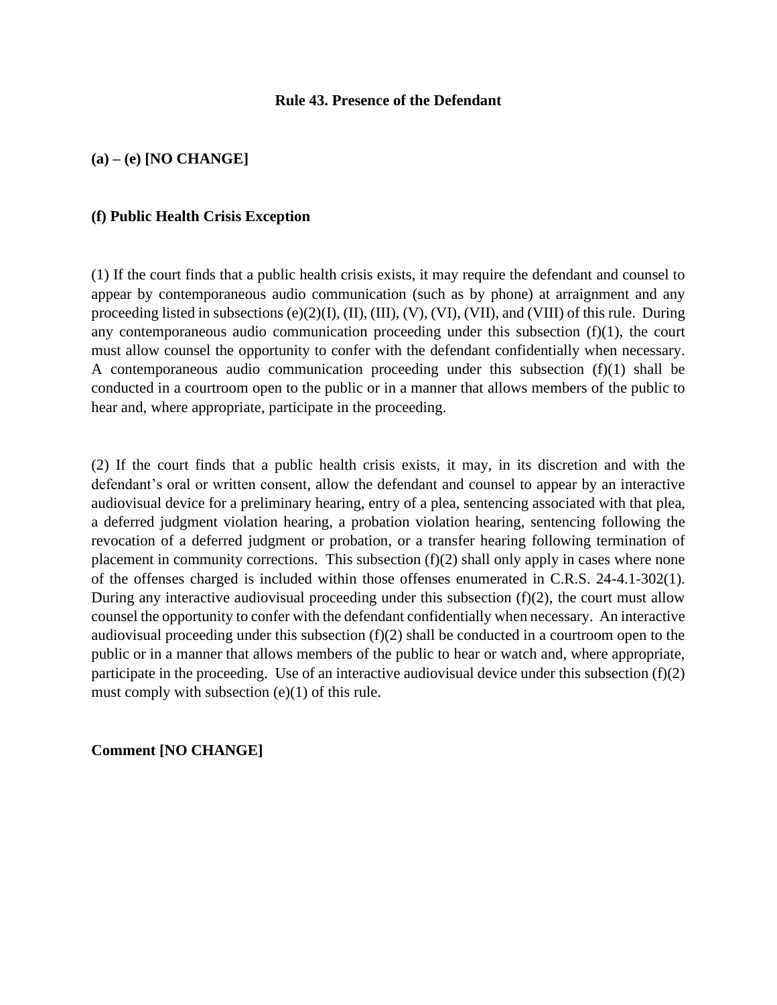### **Rule 43. Presence of the Defendant**

# **(a) – (e) [NO CHANGE]**

#### **(f) Public Health Crisis Exception**

(1) If the court finds that a public health crisis exists, it may require the defendant and counsel to appear by contemporaneous audio communication (such as by phone) at arraignment and any proceeding listed in subsections (e)(2)(I), (II), (III), (V), (VI), (VII), and (VIII) of this rule. During any contemporaneous audio communication proceeding under this subsection  $(f)(1)$ , the court must allow counsel the opportunity to confer with the defendant confidentially when necessary. A contemporaneous audio communication proceeding under this subsection (f)(1) shall be conducted in a courtroom open to the public or in a manner that allows members of the public to hear and, where appropriate, participate in the proceeding.

(2) If the court finds that a public health crisis exists, it may, in its discretion and with the defendant's oral or written consent, allow the defendant and counsel to appear by an interactive audiovisual device for a preliminary hearing, entry of a plea, sentencing associated with that plea, a deferred judgment violation hearing, a probation violation hearing, sentencing following the revocation of a deferred judgment or probation, or a transfer hearing following termination of placement in community corrections. This subsection (f)(2) shall only apply in cases where none of the offenses charged is included within those offenses enumerated in C.R.S. 24-4.1-302(1). During any interactive audiovisual proceeding under this subsection  $(f)(2)$ , the court must allow counsel the opportunity to confer with the defendant confidentially when necessary. An interactive audiovisual proceeding under this subsection (f)(2) shall be conducted in a courtroom open to the public or in a manner that allows members of the public to hear or watch and, where appropriate, participate in the proceeding. Use of an interactive audiovisual device under this subsection  $(f)(2)$ must comply with subsection (e)(1) of this rule.

**Comment [NO CHANGE]**